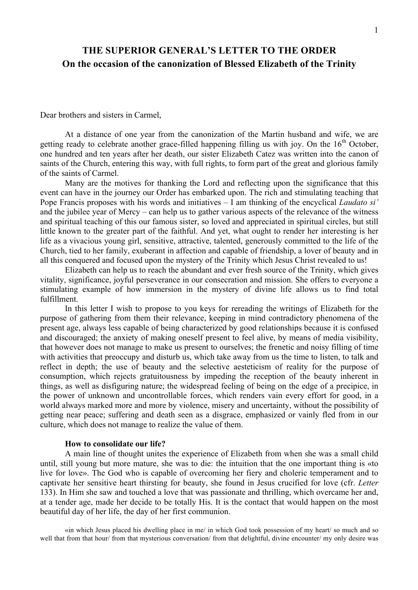# **THE SUPERIOR GENERAL'S LETTER TO THE ORDER On the occasion of the canonization of Blessed Elizabeth of the Trinity**

Dear brothers and sisters in Carmel,

At a distance of one year from the canonization of the Martin husband and wife, we are getting ready to celebrate another grace-filled happening filling us with joy. On the 16<sup>th</sup> October, one hundred and ten years after her death, our sister Elizabeth Catez was written into the canon of saints of the Church, entering this way, with full rights, to form part of the great and glorious family of the saints of Carmel.

Many are the motives for thanking the Lord and reflecting upon the significance that this event can have in the journey our Order has embarked upon. The rich and stimulating teaching that Pope Francis proposes with his words and initiatives – I am thinking of the encyclical *Laudato si'* and the jubilee year of Mercy – can help us to gather various aspects of the relevance of the witness and spiritual teaching of this our famous sister, so loved and appreciated in spiritual circles, but still little known to the greater part of the faithful. And yet, what ought to render her interesting is her life as a vivacious young girl, sensitive, attractive, talented, generously committed to the life of the Church, tied to her family, exuberant in affection and capable of friendship, a lover of beauty and in all this conquered and focused upon the mystery of the Trinity which Jesus Christ revealed to us!

Elizabeth can help us to reach the abundant and ever fresh source of the Trinity, which gives vitality, significance, joyful perseverance in our consecration and mission. She offers to everyone a stimulating example of how immersion in the mystery of divine life allows us to find total fulfillment.

In this letter I wish to propose to you keys for rereading the writings of Elizabeth for the purpose of gathering from them their relevance, keeping in mind contradictory phenomena of the present age, always less capable of being characterized by good relationships because it is confused and discouraged; the anxiety of making oneself present to feel alive, by means of media visibility, that however does not manage to make us present to ourselves; the frenetic and noisy filling of time with activities that preoccupy and disturb us, which take away from us the time to listen, to talk and reflect in depth; the use of beauty and the selective aesteticism of reality for the purpose of consumption, which rejects gratuitousness by impeding the reception of the beauty inherent in things, as well as disfiguring nature; the widespread feeling of being on the edge of a precipice, in the power of unknown and uncontrollable forces, which renders vain every effort for good, in a world always marked more and more by violence, misery and uncertainty, without the possibility of getting near peace; suffering and death seen as a disgrace, emphasized or vainly fled from in our culture, which does not manage to realize the value of them.

### **How to consolidate our life?**

A main line of thought unites the experience of Elizabeth from when she was a small child until, still young but more mature, she was to die: the intuition that the one important thing is «to live for love». The God who is capable of overcoming her fiery and choleric temperament and to captivate her sensitive heart thirsting for beauty, she found in Jesus crucified for love (cfr. *Letter* 133). In Him she saw and touched a love that was passionate and thrilling, which overcame her and, at a tender age, made her decide to be totally His. It is the contact that would happen on the most beautiful day of her life, the day of her first communion.

«in which Jesus placed his dwelling place in me/ in which God took possession of my heart/ so much and so well that from that hour/ from that mysterious conversation/ from that delightful, divine encounter/ my only desire was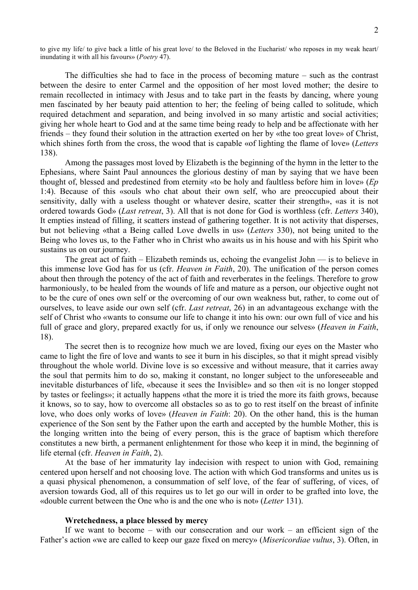to give my life/ to give back a little of his great love/ to the Beloved in the Eucharist/ who reposes in my weak heart/ inundating it with all his favours» (*Poetry* 47).

The difficulties she had to face in the process of becoming mature – such as the contrast between the desire to enter Carmel and the opposition of her most loved mother; the desire to remain recollected in intimacy with Jesus and to take part in the feasts by dancing, where young men fascinated by her beauty paid attention to her; the feeling of being called to solitude, which required detachment and separation, and being involved in so many artistic and social activities; giving her whole heart to God and at the same time being ready to help and be affectionate with her friends – they found their solution in the attraction exerted on her by «the too great love» of Christ, which shines forth from the cross, the wood that is capable «of lighting the flame of love» (*Letters* 138).

Among the passages most loved by Elizabeth is the beginning of the hymn in the letter to the Ephesians, where Saint Paul announces the glorious destiny of man by saying that we have been thought of, blessed and predestined from eternity «to be holy and faultless before him in love» (*Ep*  1:4). Because of this «souls who chat about their own self, who are preoccupied about their sensitivity, dally with a useless thought or whatever desire, scatter their strength», «as it is not ordered towards God» (*Last retreat*, 3). All that is not done for God is worthless (cfr. *Letters* 340), It empties instead of filling, it scatters instead of gathering together. It is not activity that disperses, but not believing «that a Being called Love dwells in us» (*Letters* 330), not being united to the Being who loves us, to the Father who in Christ who awaits us in his house and with his Spirit who sustains us on our journey.

The great act of faith – Elizabeth reminds us, echoing the evangelist John — is to believe in this immense love God has for us (cfr. *Heaven in Faith*, 20). The unification of the person comes about then through the potency of the act of faith and reverberates in the feelings. Therefore to grow harmoniously, to be healed from the wounds of life and mature as a person, our objective ought not to be the cure of ones own self or the overcoming of our own weakness but, rather, to come out of ourselves, to leave aside our own self (cfr. *Last retreat*, 26) in an advantageous exchange with the self of Christ who «wants to consume our life to change it into his own: our own full of vice and his full of grace and glory, prepared exactly for us, if only we renounce our selves» (*Heaven in Faith*, 18).

The secret then is to recognize how much we are loved, fixing our eyes on the Master who came to light the fire of love and wants to see it burn in his disciples, so that it might spread visibly throughout the whole world. Divine love is so excessive and without measure, that it carries away the soul that permits him to do so, making it constant, no longer subject to the unforeseeable and inevitable disturbances of life, «because it sees the Invisible» and so then «it is no longer stopped by tastes or feelings»; it actually happens «that the more it is tried the more its faith grows, because it knows, so to say, how to overcome all obstacles so as to go to rest itself on the breast of infinite love, who does only works of love» (*Heaven in Faith*: 20). On the other hand, this is the human experience of the Son sent by the Father upon the earth and accepted by the humble Mother, this is the longing written into the being of every person, this is the grace of baptism which therefore constitutes a new birth, a permanent enlightenment for those who keep it in mind, the beginning of life eternal (cfr. *Heaven in Faith*, 2).

At the base of her immaturity lay indecision with respect to union with God, remaining centered upon herself and not choosing love. The action with which God transforms and unites us is a quasi physical phenomenon, a consummation of self love, of the fear of suffering, of vices, of aversion towards God, all of this requires us to let go our will in order to be grafted into love, the «double current between the One who is and the one who is not» (*Letter* 131).

## **Wretchedness, a place blessed by mercy**

If we want to become – with our consecration and our work – an efficient sign of the Father's action «we are called to keep our gaze fixed on mercy» (*Misericordiae vultus*, 3). Often, in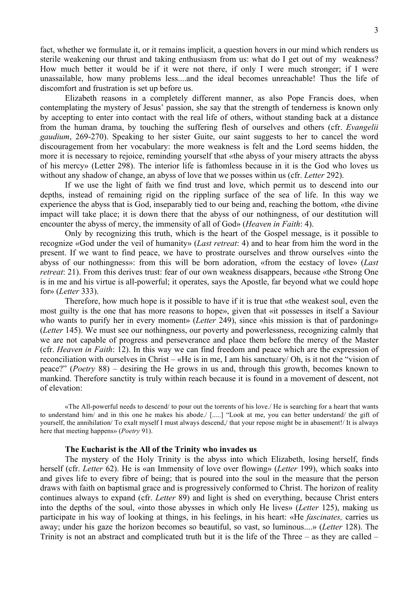fact, whether we formulate it, or it remains implicit, a question hovers in our mind which renders us sterile weakening our thrust and taking enthusiasm from us: what do I get out of my weakness? How much better it would be if it were not there, if only I were much stronger; if I were unassailable, how many problems less....and the ideal becomes unreachable! Thus the life of discomfort and frustration is set up before us.

Elizabeth reasons in a completely different manner, as also Pope Francis does, when contemplating the mystery of Jesus' passion, she say that the strength of tenderness is known only by accepting to enter into contact with the real life of others, without standing back at a distance from the human drama, by touching the suffering flesh of ourselves and others (cfr. *Evangelii gaudium*, 269-270). Speaking to her sister Guite, our saint suggests to her to cancel the word discouragement from her vocabulary: the more weakness is felt and the Lord seems hidden, the more it is necessary to rejoice, reminding yourself that «the abyss of your misery attracts the abyss of his mercy» (Letter 298). The interior life is fathomless because in it is the God who loves us without any shadow of change, an abyss of love that we posses within us (cfr. *Letter* 292).

If we use the light of faith we find trust and love, which permit us to descend into our depths, instead of remaining rigid on the rippling surface of the sea of life. In this way we experience the abyss that is God, inseparably tied to our being and, reaching the bottom, «the divine impact will take place; it is down there that the abyss of our nothingness, of our destitution will encounter the abyss of mercy, the immensity of all of God» (*Heaven in Faith*: 4).

Only by recognizing this truth, which is the heart of the Gospel message, is it possible to recognize «God under the veil of humanity» (*Last retreat*: 4) and to hear from him the word in the present. If we want to find peace, we have to prostrate ourselves and throw ourselves «into the abyss of our nothingness»: from this will be born adoration, «from the ecstacy of love» (*Last retreat*: 21). From this derives trust: fear of our own weakness disappears, because «the Strong One is in me and his virtue is all-powerful; it operates, says the Apostle, far beyond what we could hope for» (*Letter* 333).

Therefore, how much hope is it possible to have if it is true that «the weakest soul, even the most guilty is the one that has more reasons to hope», given that «it possesses in itself a Saviour who wants to purify her in every moment» (*Letter* 249), since «his mission is that of pardoning» (*Letter* 145). We must see our nothingness, our poverty and powerlessness, recognizing calmly that we are not capable of progress and perseverance and place them before the mercy of the Master (cfr. *Heaven in Faith*: 12). In this way we can find freedom and peace which are the expression of reconciliation with ourselves in Christ – «He is in me, I am his sanctuary/ Oh, is it not the "vision of peace?" (*Poetry* 88) – desiring the He grows in us and, through this growth, becomes known to mankind. Therefore sanctity is truly within reach because it is found in a movement of descent, not of elevation:

«The All-powerful needs to descend/ to pour out the torrents of his love./ He is searching for a heart that wants to understand him/ and in this one he makes his abode./ [.....] "Look at me, you can better understand/ the gift of yourself, the annihilation/ To exalt myself I must always descend,/ that your repose might be in abasement!/ It is always here that meeting happens» (*Poetry* 91).

## **The Eucharist is the All of the Trinity who invades us**

The mystery of the Holy Trinity is the abyss into which Elizabeth, losing herself, finds herself (cfr. *Letter* 62). He is «an Immensity of love over flowing» (*Letter* 199), which soaks into and gives life to every fibre of being; that is poured into the soul in the measure that the person draws with faith on baptismal grace and is progressively conformed to Christ. The horizon of reality continues always to expand (cfr. *Letter* 89) and light is shed on everything, because Christ enters into the depths of the soul, «into those abysses in which only He lives» (*Letter* 125), making us participate in his way of looking at things, in his feelings, in his heart: «He *fascinates,* carries us away; under his gaze the horizon becomes so beautiful, so vast, so luminous....» (*Letter* 128). The Trinity is not an abstract and complicated truth but it is the life of the Three – as they are called –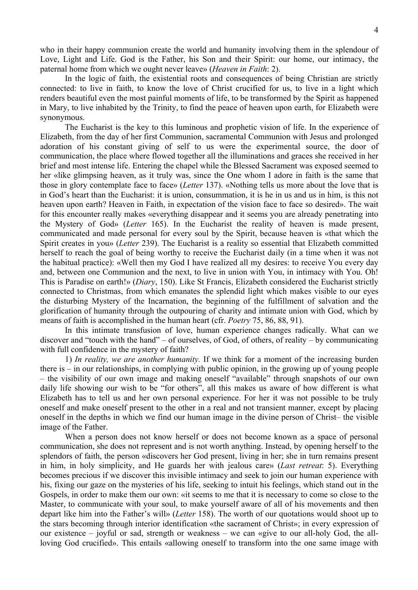who in their happy communion create the world and humanity involving them in the splendour of Love, Light and Life. God is the Father, his Son and their Spirit: our home, our intimacy, the paternal home from which we ought never leave» (*Heaven in Faith*: 2).

In the logic of faith, the existential roots and consequences of being Christian are strictly connected: to live in faith, to know the love of Christ crucified for us, to live in a light which renders beautiful even the most painful moments of life, to be transformed by the Spirit as happened in Mary, to live inhabited by the Trinity, to find the peace of heaven upon earth, for Elizabeth were synonymous.

The Eucharist is the key to this luminous and prophetic vision of life. In the experience of Elizabeth, from the day of her first Communion, sacramental Communion with Jesus and prolonged adoration of his constant giving of self to us were the experimental source, the door of communication, the place where flowed together all the illuminations and graces she received in her brief and most intense life. Entering the chapel while the Blessed Sacrament was exposed seemed to her «like glimpsing heaven, as it truly was, since the One whom I adore in faith is the same that those in glory contemplate face to face» (*Letter* 137). «Nothing tells us more about the love that is in God's heart than the Eucharist: it is union, consummation, it is he in us and us in him, is this not heaven upon earth? Heaven in Faith, in expectation of the vision face to face so desired». The wait for this encounter really makes «everything disappear and it seems you are already penetrating into the Mystery of God» (*Letter* 165). In the Eucharist the reality of heaven is made present, communicated and made personal for every soul by the Spirit, because heaven is «that which the Spirit creates in you» (*Letter* 239). The Eucharist is a reality so essential that Elizabeth committed herself to reach the goal of being worthy to receive the Eucharist daily (in a time when it was not the habitual practice): «Well then my God I have realized all my desires: to receive You every day and, between one Communion and the next, to live in union with You, in intimacy with You. Oh! This is Paradise on earth!» (*Diary*, 150). Like St Francis, Elizabeth considered the Eucharist strictly connected to Christmas, from which emanates the splendid light which makes visible to our eyes the disturbing Mystery of the Incarnation, the beginning of the fulfillment of salvation and the glorification of humanity through the outpouring of charity and intimate union with God, which by means of faith is accomplished in the human heart (cfr. *Poetry* 75, 86, 88, 91).

In this intimate transfusion of love, human experience changes radically. What can we discover and "touch with the hand" – of ourselves, of God, of others, of reality – by communicating with full confidence in the mystery of faith?

1) *In reality, we are another humanity.* If we think for a moment of the increasing burden there is – in our relationships, in complying with public opinion, in the growing up of young people – the visibility of our own image and making oneself "available" through snapshots of our own daily life showing our wish to be "for others", all this makes us aware of how different is what Elizabeth has to tell us and her own personal experience. For her it was not possible to be truly oneself and make oneself present to the other in a real and not transient manner, except by placing oneself in the depths in which we find our human image in the divine person of Christ– the visible image of the Father.

When a person does not know herself or does not become known as a space of personal communication, she does not represent and is not worth anything. Instead, by opening herself to the splendors of faith, the person «discovers her God present, living in her; she in turn remains present in him, in holy simplicity, and He guards her with jealous care» (*Last retreat*: 5). Everything becomes precious if we discover this invisible intimacy and seek to join our human experience with his, fixing our gaze on the mysteries of his life, seeking to intuit his feelings, which stand out in the Gospels, in order to make them our own: «it seems to me that it is necessary to come so close to the Master, to communicate with your soul, to make yourself aware of all of his movements and then depart like him into the Father's will» (*Letter* 158). The worth of our quotations would shoot up to the stars becoming through interior identification «the sacrament of Christ»; in every expression of our existence – joyful or sad, strength or weakness – we can «give to our all-holy God, the allloving God crucified». This entails «allowing oneself to transform into the one same image with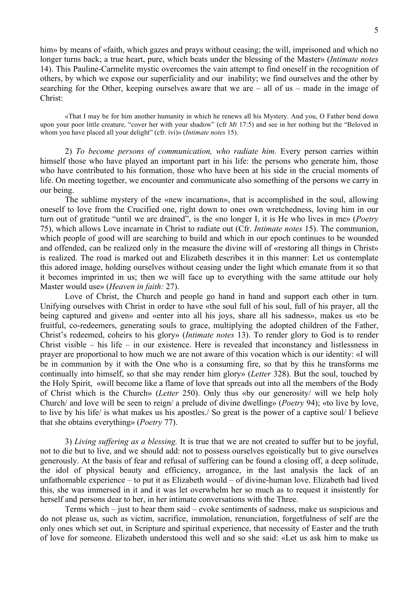him» by means of «faith, which gazes and prays without ceasing; the will, imprisoned and which no longer turns back; a true heart, pure, which beats under the blessing of the Master» (*Intimate notes* 14). This Pauline-Carmelite mystic overcomes the vain attempt to find oneself in the recognition of others, by which we expose our superficiality and our inability; we find ourselves and the other by searching for the Other, keeping ourselves aware that we are – all of us – made in the image of Christ:

«That I may be for him another humanity in which he renews all his Mystery. And you, O Father bend down upon your poor little creature, "cover her with your shadow" (cfr *Mt* 17:5) and see in her nothing but the "Beloved in whom you have placed all your delight" (cfr. ivi)» (*Intimate notes* 15).

2) *To become persons of communication, who radiate him.* Every person carries within himself those who have played an important part in his life: the persons who generate him, those who have contributed to his formation, those who have been at his side in the crucial moments of life. On meeting together, we encounter and communicate also something of the persons we carry in our being.

The sublime mystery of the «new incarnation», that is accomplished in the soul, allowing oneself to love from the Crucified one, right down to ones own wretchedness, loving him in our turn out of gratitude "until we are drained", is the «no longer I, it is He who lives in me» (*Poetry* 75), which allows Love incarnate in Christ to radiate out (Cfr. *Intimate notes* 15). The communion, which people of good will are searching to build and which in our epoch continues to be wounded and offended, can be realized only in the measure the divine will of «restoring all things in Christ» is realized. The road is marked out and Elizabeth describes it in this manner: Let us contemplate this adored image, holding ourselves without ceasing under the light which emanate from it so that it becomes imprinted in us; then we will face up to everything with the same attitude our holy Master would use» (*Heaven in faith:* 27).

Love of Christ, the Church and people go hand in hand and support each other in turn. Unifying ourselves with Christ in order to have «the soul full of his soul, full of his prayer, all the being captured and given» and «enter into all his joys, share all his sadness», makes us «to be fruitful, co-redeemers, generating souls to grace, multiplying the adopted children of the Father, Christ's redeemed, coheirs to his glory» (*Intimate notes* 13). To render glory to God is to render Christ visible – his life – in our existence. Here is revealed that inconstancy and listlessness in prayer are proportional to how much we are not aware of this vocation which is our identity: «I will be in communion by it with the One who is a consuming fire, so that by this he transforms me continually into himself, so that she may render him glory» (*Letter* 328). But the soul, touched by the Holy Spirit, «will become like a flame of love that spreads out into all the members of the Body of Christ which is the Church» (*Letter* 250). Only thus «by our generosity/ will we help holy Church/ and love will be seen to reign/ a prelude of divine dwelling» (*Poetry* 94); «to live by love, to live by his life/ is what makes us his apostles./ So great is the power of a captive soul/ I believe that she obtains everything» (*Poetry* 77).

3) *Living suffering as a blessing.* It is true that we are not created to suffer but to be joyful, not to die but to live, and we should add: not to possess ourselves egoistically but to give ourselves generously. At the basis of fear and refusal of suffering can be found a closing off, a deep solitude, the idol of physical beauty and efficiency, arrogance, in the last analysis the lack of an unfathomable experience – to put it as Elizabeth would – of divine-human love. Elizabeth had lived this, she was immersed in it and it was let overwhelm her so much as to request it insistently for herself and persons dear to her, in her intimate conversations with the Three.

Terms which – just to hear them said – evoke sentiments of sadness, make us suspicious and do not please us, such as victim, sacrifice, immolation, renunciation, forgetfulness of self are the only ones which set out, in Scripture and spiritual experience, that necessity of Easter and the truth of love for someone. Elizabeth understood this well and so she said: «Let us ask him to make us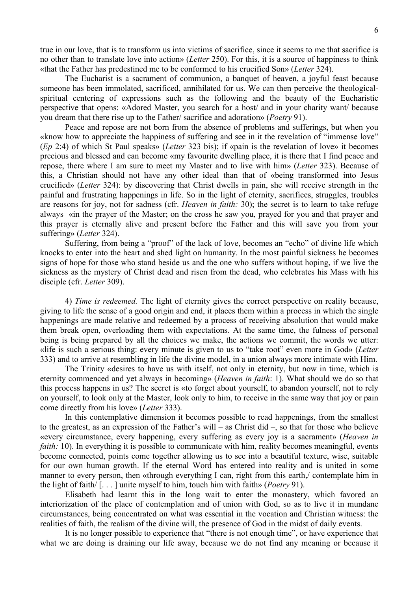true in our love, that is to transform us into victims of sacrifice, since it seems to me that sacrifice is no other than to translate love into action» (*Letter* 250). For this, it is a source of happiness to think «that the Father has predestined me to be conformed to his crucified Son» (*Letter* 324).

The Eucharist is a sacrament of communion, a banquet of heaven, a joyful feast because someone has been immolated, sacrificed, annihilated for us. We can then perceive the theologicalspiritual centering of expressions such as the following and the beauty of the Eucharistic perspective that opens: «Adored Master, you search for a host/ and in your charity want/ because you dream that there rise up to the Father/ sacrifice and adoration» (*Poetry* 91).

Peace and repose are not born from the absence of problems and sufferings, but when you «know how to appreciate the happiness of suffering and see in it the revelation of "immense love" (*Ep* 2:4) of which St Paul speaks» (*Letter* 323 bis); if «pain is the revelation of love» it becomes precious and blessed and can become «my favourite dwelling place, it is there that I find peace and repose, there where I am sure to meet my Master and to live with him» (*Letter* 323). Because of this, a Christian should not have any other ideal than that of «being transformed into Jesus crucified» (*Letter* 324): by discovering that Christ dwells in pain, she will receive strength in the painful and frustrating happenings in life. So in the light of eternity, sacrifices, struggles, troubles are reasons for joy, not for sadness (cfr. *Heaven in faith:* 30); the secret is to learn to take refuge always «in the prayer of the Master; on the cross he saw you, prayed for you and that prayer and this prayer is eternally alive and present before the Father and this will save you from your suffering» (*Letter* 324).

Suffering, from being a "proof" of the lack of love, becomes an "echo" of divine life which knocks to enter into the heart and shed light on humanity. In the most painful sickness he becomes signs of hope for those who stand beside us and the one who suffers without hoping, if we live the sickness as the mystery of Christ dead and risen from the dead, who celebrates his Mass with his disciple (cfr. *Letter* 309).

4) *Time is redeemed.* The light of eternity gives the correct perspective on reality because, giving to life the sense of a good origin and end, it places them within a process in which the single happenings are made relative and redeemed by a process of receiving absolution that would make them break open, overloading them with expectations. At the same time, the fulness of personal being is being prepared by all the choices we make, the actions we commit, the words we utter: «life is such a serious thing: every minute is given to us to "take root" even more in God» (*Letter* 333) and to arrive at resembling in life the divine model, in a union always more intimate with Him.

The Trinity «desires to have us with itself, not only in eternity, but now in time, which is eternity commenced and yet always in becoming» (*Heaven in faith*: 1). What should we do so that this process happens in us? The secret is «to forget about yourself, to abandon yourself, not to rely on yourself, to look only at the Master, look only to him, to receive in the same way that joy or pain come directly from his love» (*Letter* 333).

In this contemplative dimension it becomes possible to read happenings, from the smallest to the greatest, as an expression of the Father's will – as Christ did –, so that for those who believe «every circumstance, every happening, every suffering as every joy is a sacrament» (*Heaven in faith:* 10). In everything it is possible to communicate with him, reality becomes meaningful, events become connected, points come together allowing us to see into a beautiful texture, wise, suitable for our own human growth. If the eternal Word has entered into reality and is united in some manner to every person, then «through everything I can, right from this earth,/ contemplate him in the light of faith/ [. . . ] unite myself to him, touch him with faith» (*Poetry* 91).

Elisabeth had learnt this in the long wait to enter the monastery, which favored an interiorization of the place of contemplation and of union with God, so as to live it in mundane circumstances, being concentrated on what was essential in the vocation and Christian witness: the realities of faith, the realism of the divine will, the presence of God in the midst of daily events.

It is no longer possible to experience that "there is not enough time", or have experience that what we are doing is draining our life away, because we do not find any meaning or because it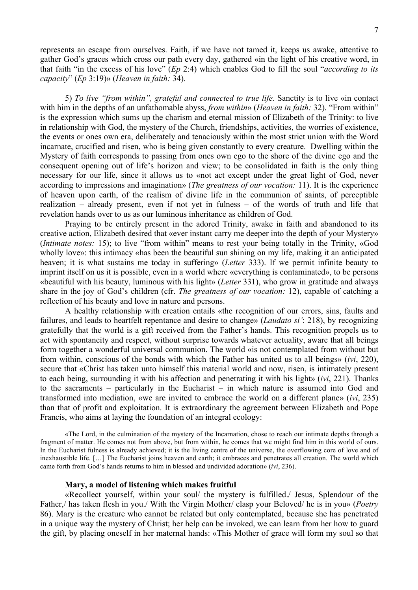represents an escape from ourselves. Faith, if we have not tamed it, keeps us awake, attentive to gather God's graces which cross our path every day, gathered «in the light of his creative word, in that faith "in the excess of his love" (*Ep* 2:4) which enables God to fill the soul "*according to its capacity*" (*Ep* 3:19)» (*Heaven in faith:* 34).

5) *To live "from within", grateful and connected to true life.* Sanctity is to live «in contact with him in the depths of an unfathomable abyss, *from within*» (*Heaven in faith:* 32). "From within" is the expression which sums up the charism and eternal mission of Elizabeth of the Trinity: to live in relationship with God, the mystery of the Church, friendships, activities, the worries of existence, the events or ones own era, deliberately and tenaciously within the most strict union with the Word incarnate, crucified and risen, who is being given constantly to every creature. Dwelling within the Mystery of faith corresponds to passing from ones own ego to the shore of the divine ego and the consequent opening out of life's horizon and view; to be consolidated in faith is the only thing necessary for our life, since it allows us to «not act except under the great light of God, never according to impressions and imagination» (*The greatness of our vocation:* 11). It is the experience of heaven upon earth, of the realism of divine life in the communion of saints, of perceptible realization – already present, even if not yet in fulness – of the words of truth and life that revelation hands over to us as our luminous inheritance as children of God.

Praying to be entirely present in the adored Trinity, awake in faith and abandoned to its creative action, Elizabeth desired that «ever instant carry me deeper into the depth of your Mystery» (*Intimate notes:* 15); to live "from within" means to rest your being totally in the Trinity, «God wholly love»: this intimacy «has been the beautiful sun shining on my life, making it an anticipated heaven; it is what sustains me today in suffering» (*Letter* 333). If we permit infinite beauty to imprint itself on us it is possible, even in a world where «everything is contaminated», to be persons «beautiful with his beauty, luminous with his light» (*Letter* 331), who grow in gratitude and always share in the joy of God's children (cfr. *The greatness of our vocation:* 12), capable of catching a reflection of his beauty and love in nature and persons.

A healthy relationship with creation entails «the recognition of our errors, sins, faults and failures, and leads to heartfelt repentance and desire to change» (*Laudato si'*: 218), by recognizing gratefully that the world is a gift received from the Father's hands. This recognition propels us to act with spontaneity and respect, without surprise towards whatever actuality, aware that all beings form together a wonderful universal communion. The world «is not contemplated from without but from within, conscious of the bonds with which the Father has united us to all beings» (*ivi*, 220), secure that «Christ has taken unto himself this material world and now, risen, is intimately present to each being, surrounding it with his affection and penetrating it with his light» (*ivi*, 221). Thanks to the sacraments – particularly in the Eucharist – in which nature is assumed into God and transformed into mediation, «we are invited to embrace the world on a different plane» (*ivi*, 235) than that of profit and exploitation. It is extraordinary the agreement between Elizabeth and Pope Francis, who aims at laying the foundation of an integral ecology:

«The Lord, in the culmination of the mystery of the Incarnation, chose to reach our intimate depths through a fragment of matter. He comes not from above, but from within, he comes that we might find him in this world of ours. In the Eucharist fulness is already achieved; it is the living centre of the universe, the overflowing core of love and of inexhaustible life. […] The Eucharist joins heaven and earth; it embraces and penetrates all creation. The world which came forth from God's hands returns to him in blessed and undivided adoration» (*ivi*, 236).

#### **Mary, a model of listening which makes fruitful**

«Recollect yourself, within your soul/ the mystery is fulfilled./ Jesus, Splendour of the Father,/ has taken flesh in you./ With the Virgin Mother/ clasp your Beloved/ he is in you» (*Poetry* 86). Mary is the creature who cannot be related but only contemplated, because she has penetrated in a unique way the mystery of Christ; her help can be invoked, we can learn from her how to guard the gift, by placing oneself in her maternal hands: «This Mother of grace will form my soul so that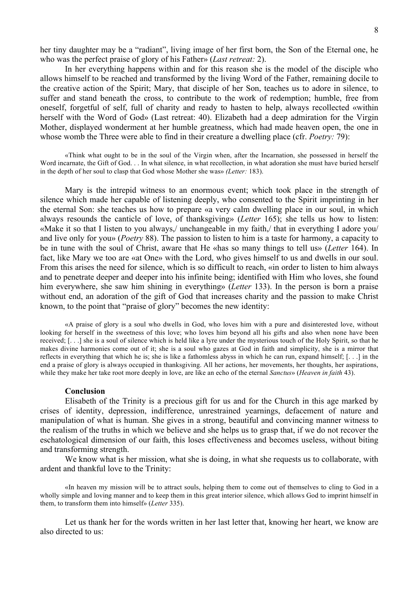her tiny daughter may be a "radiant", living image of her first born, the Son of the Eternal one, he who was the perfect praise of glory of his Father» (*Last retreat:* 2).

In her everything happens within and for this reason she is the model of the disciple who allows himself to be reached and transformed by the living Word of the Father, remaining docile to the creative action of the Spirit; Mary, that disciple of her Son, teaches us to adore in silence, to suffer and stand beneath the cross, to contribute to the work of redemption; humble, free from oneself, forgetful of self, full of charity and ready to hasten to help, always recollected «within herself with the Word of God» (Last retreat: 40). Elizabeth had a deep admiration for the Virgin Mother, displayed wonderment at her humble greatness, which had made heaven open, the one in whose womb the Three were able to find in their creature a dwelling place (cfr. *Poetry:* 79):

«Think what ought to be in the soul of the Virgin when, after the Incarnation, she possessed in herself the Word incarnate, the Gift of God. . . In what silence, in what recollection, in what adoration she must have buried herself in the depth of her soul to clasp that God whose Mother she was» *(Letter:* 183).

Mary is the intrepid witness to an enormous event; which took place in the strength of silence which made her capable of listening deeply, who consented to the Spirit imprinting in her the eternal Son: she teaches us how to prepare «a very calm dwelling place in our soul, in which always resounds the canticle of love, of thanksgiving» (*Letter* 165); she tells us how to listen: «Make it so that I listen to you always,/ unchangeable in my faith,/ that in everything I adore you/ and live only for you» (*Poetry* 88). The passion to listen to him is a taste for harmony, a capacity to be in tune with the soul of Christ, aware that He «has so many things to tell us» (*Letter* 164). In fact, like Mary we too are «at One» with the Lord, who gives himself to us and dwells in our soul. From this arises the need for silence, which is so difficult to reach, «in order to listen to him always and to penetrate deeper and deeper into his infinite being; identified with Him who loves, she found him everywhere, she saw him shining in everything» (*Letter* 133). In the person is born a praise without end, an adoration of the gift of God that increases charity and the passion to make Christ known, to the point that "praise of glory" becomes the new identity:

«A praise of glory is a soul who dwells in God, who loves him with a pure and disinterested love, without looking for herself in the sweetness of this love; who loves him beyond all his gifts and also when none have been received; [. . .] she is a soul of silence which is held like a lyre under the mysterious touch of the Holy Spirit, so that he makes divine harmonies come out of it; she is a soul who gazes at God in faith and simplicity, she is a mirror that reflects in everything that which he is; she is like a fathomless abyss in which he can run, expand himself; [. . .] in the end a praise of glory is always occupied in thanksgiving. All her actions, her movements, her thoughts, her aspirations, while they make her take root more deeply in love, are like an echo of the eternal *Sanctus*» (*Heaven in faith* 43).

#### **Conclusion**

Elisabeth of the Trinity is a precious gift for us and for the Church in this age marked by crises of identity, depression, indifference, unrestrained yearnings, defacement of nature and manipulation of what is human. She gives in a strong, beautiful and convincing manner witness to the realism of the truths in which we believe and she helps us to grasp that, if we do not recover the eschatological dimension of our faith, this loses effectiveness and becomes useless, without biting and transforming strength.

We know what is her mission, what she is doing, in what she requests us to collaborate, with ardent and thankful love to the Trinity:

«In heaven my mission will be to attract souls, helping them to come out of themselves to cling to God in a wholly simple and loving manner and to keep them in this great interior silence, which allows God to imprint himself in them, to transform them into himself» (*Letter* 335).

Let us thank her for the words written in her last letter that, knowing her heart, we know are also directed to us: